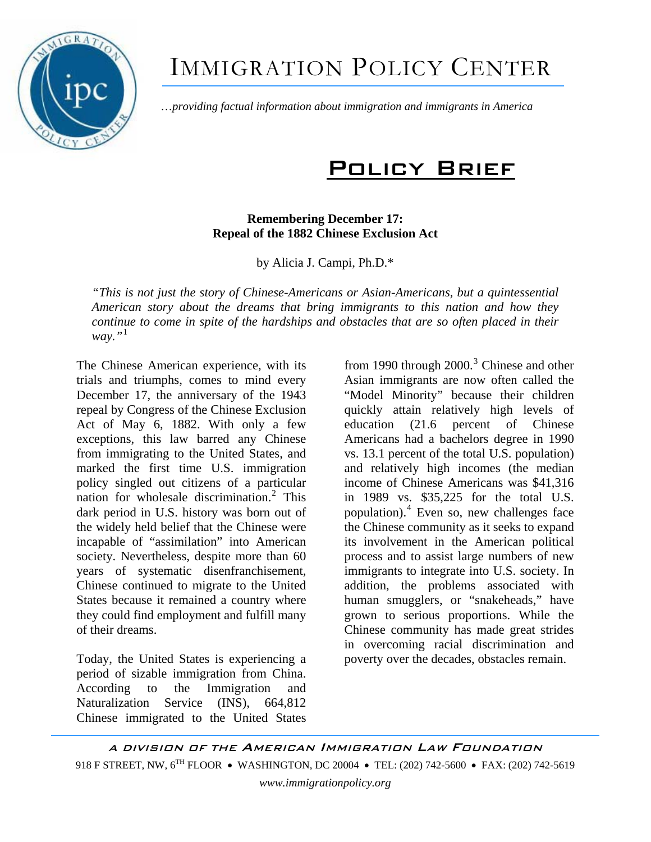

# IMMIGRATION POLICY CENTER

…*providing factual information about immigration and immigrants in America*

# Policy Brief

## **Remembering December 17: Repeal of the 1882 Chinese Exclusion Act**

by Alicia J. Campi, Ph.D.\*

*"This is not just the story of Chinese-Americans or Asian-Americans, but a quintessential American story about the dreams that bring immigrants to this nation and how they continue to come in spite of the hardships and obstacles that are so often placed in their way."*[1](#page-4-0)

The Chinese American experience, with its trials and triumphs, comes to mind every December 17, the anniversary of the 1943 repeal by Congress of the Chinese Exclusion Act of May 6, 1882. With only a few exceptions, this law barred any Chinese from immigrating to the United States, and marked the first time U.S. immigration policy singled out citizens of a particular nation for wholesale discrimination.<sup>[2](#page-4-1)</sup> This dark period in U.S. history was born out of the widely held belief that the Chinese were incapable of "assimilation" into American society. Nevertheless, despite more than 60 years of systematic disenfranchisement, Chinese continued to migrate to the United States because it remained a country where they could find employment and fulfill many of their dreams.

Today, the United States is experiencing a period of sizable immigration from China. According to the Immigration and Naturalization Service (INS), 664,812 Chinese immigrated to the United States

from 1990 through  $2000$ .<sup>[3](#page-4-1)</sup> Chinese and other Asian immigrants are now often called the "Model Minority" because their children quickly attain relatively high levels of education (21.6 percent of Chinese Americans had a bachelors degree in 1990 vs. 13.1 percent of the total U.S. population) and relatively high incomes (the median income of Chinese Americans was \$41,316 in 1989 vs. \$35,225 for the total U.S. population).[4](#page-4-1) Even so, new challenges face the Chinese community as it seeks to expand its involvement in the American political process and to assist large numbers of new immigrants to integrate into U.S. society. In addition, the problems associated with human smugglers, or "snakeheads," have grown to serious proportions. While the Chinese community has made great strides in overcoming racial discrimination and poverty over the decades, obstacles remain.

A DIVISION OF THE AMERICAN IMMIGRATION LAW FOUNDATION 918 F STREET, NW, 6<sup>TH</sup> FLOOR • WASHINGTON, DC 20004 • TEL: (202) 742-5600 • FAX: (202) 742-5619 *www.immigrationpolicy.org*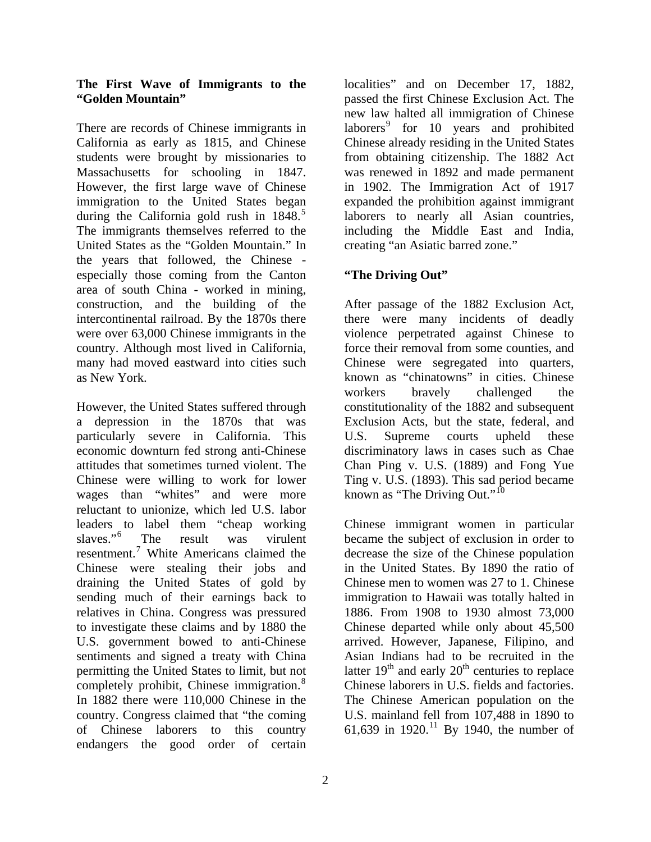#### **The First Wave of Immigrants to the "Golden Mountain"**

There are records of Chinese immigrants in California as early as 1815, and Chinese students were brought by missionaries to Massachusetts for schooling in 1847. However, the first large wave of Chinese immigration to the United States began during the California gold rush in  $1848$ <sup>[5](#page-4-1)</sup> The immigrants themselves referred to the United States as the "Golden Mountain." In the years that followed, the Chinese especially those coming from the Canton area of south China - worked in mining, construction, and the building of the intercontinental railroad. By the 1870s there were over 63,000 Chinese immigrants in the country. Although most lived in California, many had moved eastward into cities such as New York.

However, the United States suffered through a depression in the 1870s that was particularly severe in California. This economic downturn fed strong anti-Chinese attitudes that sometimes turned violent. The Chinese were willing to work for lower wages than "whites" and were more reluctant to unionize, which led U.S. labor leaders to label them "cheap working slaves."[6](#page-4-1) The result was virulent resentment.<sup>[7](#page-4-1)</sup> White Americans claimed the Chinese were stealing their jobs and draining the United States of gold by sending much of their earnings back to relatives in China. Congress was pressured to investigate these claims and by 1880 the U.S. government bowed to anti-Chinese sentiments and signed a treaty with China permitting the United States to limit, but not completely prohibit, Chinese immigration.<sup>[8](#page-4-1)</sup> In 1882 there were 110,000 Chinese in the country. Congress claimed that "the coming of Chinese laborers to this country endangers the good order of certain localities" and on December 17, 1882, passed the first Chinese Exclusion Act. The new law halted all immigration of Chinese laborers<sup>[9](#page-4-1)</sup> for 10 years and prohibited Chinese already residing in the United States from obtaining citizenship. The 1882 Act was renewed in 1892 and made permanent in 1902. The Immigration Act of 1917 expanded the prohibition against immigrant laborers to nearly all Asian countries, including the Middle East and India, creating "an Asiatic barred zone."

# **"The Driving Out"**

After passage of the 1882 Exclusion Act, there were many incidents of deadly violence perpetrated against Chinese to force their removal from some counties, and Chinese were segregated into quarters, known as "chinatowns" in cities. Chinese workers bravely challenged the constitutionality of the 1882 and subsequent Exclusion Acts, but the state, federal, and U.S. Supreme courts upheld these discriminatory laws in cases such as Chae Chan Ping v. U.S. (1889) and Fong Yue Ting v. U.S. (1893). This sad period became known as "The Driving Out." $^{10}$  $^{10}$  $^{10}$ 

Chinese immigrant women in particular became the subject of exclusion in order to decrease the size of the Chinese population in the United States. By 1890 the ratio of Chinese men to women was 27 to 1. Chinese immigration to Hawaii was totally halted in 1886. From 1908 to 1930 almost 73,000 Chinese departed while only about 45,500 arrived. However, Japanese, Filipino, and Asian Indians had to be recruited in the latter  $19<sup>th</sup>$  and early  $20<sup>th</sup>$  centuries to replace Chinese laborers in U.S. fields and factories. The Chinese American population on the U.S. mainland fell from 107,488 in 1890 to 61,639 in 1920.<sup>[11](#page-4-1)</sup> By 1940, the number of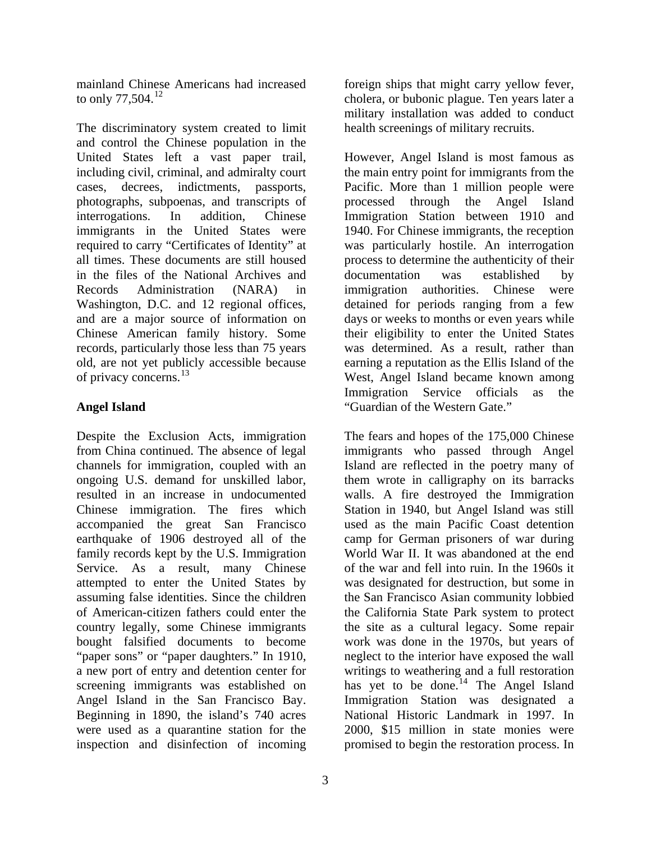mainland Chinese Americans had increased to only 77,504.<sup>[12](#page-4-1)</sup>

The discriminatory system created to limit and control the Chinese population in the United States left a vast paper trail, including civil, criminal, and admiralty court cases, decrees, indictments, passports, photographs, subpoenas, and transcripts of interrogations. In addition, Chinese immigrants in the United States were required to carry "Certificates of Identity" at all times. These documents are still housed in the files of the National Archives and Records Administration (NARA) in Washington, D.C. and 12 regional offices, and are a major source of information on Chinese American family history. Some records, particularly those less than 75 years old, are not yet publicly accessible because of privacy concerns.<sup>[13](#page-4-1)</sup>

## **Angel Island**

Despite the Exclusion Acts, immigration from China continued. The absence of legal channels for immigration, coupled with an ongoing U.S. demand for unskilled labor, resulted in an increase in undocumented Chinese immigration. The fires which accompanied the great San Francisco earthquake of 1906 destroyed all of the family records kept by the U.S. Immigration Service. As a result, many Chinese attempted to enter the United States by assuming false identities. Since the children of American-citizen fathers could enter the country legally, some Chinese immigrants bought falsified documents to become "paper sons" or "paper daughters." In 1910, a new port of entry and detention center for screening immigrants was established on Angel Island in the San Francisco Bay. Beginning in 1890, the island's 740 acres were used as a quarantine station for the inspection and disinfection of incoming

foreign ships that might carry yellow fever, cholera, or bubonic plague. Ten years later a military installation was added to conduct health screenings of military recruits.

However, Angel Island is most famous as the main entry point for immigrants from the Pacific. More than 1 million people were processed through the Angel Island Immigration Station between 1910 and 1940. For Chinese immigrants, the reception was particularly hostile. An interrogation process to determine the authenticity of their documentation was established by immigration authorities. Chinese were detained for periods ranging from a few days or weeks to months or even years while their eligibility to enter the United States was determined. As a result, rather than earning a reputation as the Ellis Island of the West, Angel Island became known among Immigration Service officials as the "Guardian of the Western Gate."

The fears and hopes of the 175,000 Chinese immigrants who passed through Angel Island are reflected in the poetry many of them wrote in calligraphy on its barracks walls. A fire destroyed the Immigration Station in 1940, but Angel Island was still used as the main Pacific Coast detention camp for German prisoners of war during World War II. It was abandoned at the end of the war and fell into ruin. In the 1960s it was designated for destruction, but some in the San Francisco Asian community lobbied the California State Park system to protect the site as a cultural legacy. Some repair work was done in the 1970s, but years of neglect to the interior have exposed the wall writings to weathering and a full restoration has yet to be done.<sup>[14](#page-4-1)</sup> The Angel Island Immigration Station was designated a National Historic Landmark in 1997. In 2000, \$15 million in state monies were promised to begin the restoration process. In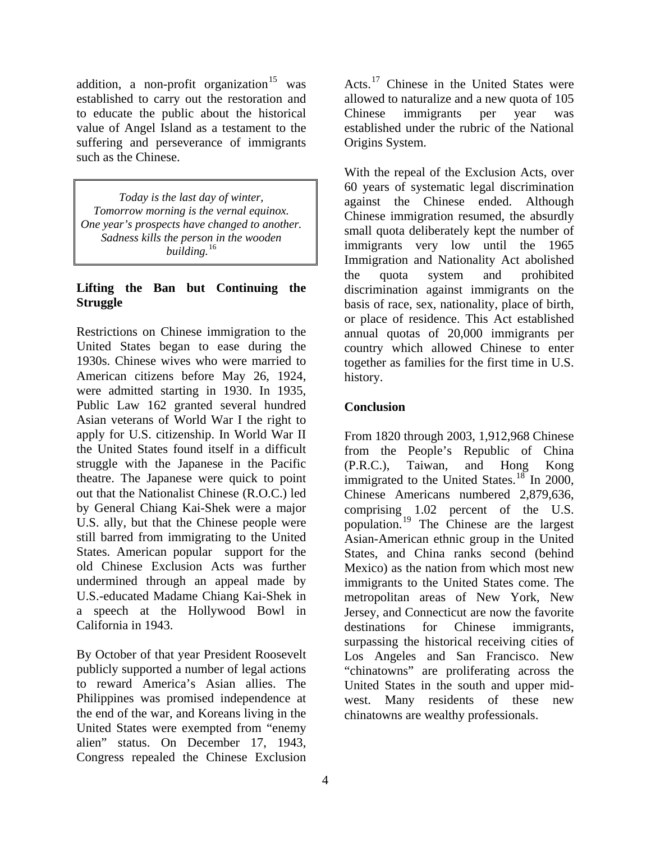addition, a non-profit organization  $15$  was established to carry out the restoration and to educate the public about the historical value of Angel Island as a testament to the suffering and perseverance of immigrants such as the Chinese.

*Today is the last day of winter, Tomorrow morning is the vernal equinox. One year's prospects have changed to another. Sadness kills the person in the wooden building.*[16](#page-4-1)

#### **Lifting the Ban but Continuing the Struggle**

Restrictions on Chinese immigration to the United States began to ease during the 1930s. Chinese wives who were married to American citizens before May 26, 1924, were admitted starting in 1930. In 1935, Public Law 162 granted several hundred Asian veterans of World War I the right to apply for U.S. citizenship. In World War II the United States found itself in a difficult struggle with the Japanese in the Pacific theatre. The Japanese were quick to point out that the Nationalist Chinese (R.O.C.) led by General Chiang Kai-Shek were a major U.S. ally, but that the Chinese people were still barred from immigrating to the United States. American popular support for the old Chinese Exclusion Acts was further undermined through an appeal made by U.S.-educated Madame Chiang Kai-Shek in a speech at the Hollywood Bowl in California in 1943.

By October of that year President Roosevelt publicly supported a number of legal actions to reward America's Asian allies. The Philippines was promised independence at the end of the war, and Koreans living in the United States were exempted from "enemy alien" status. On December 17, 1943, Congress repealed the Chinese Exclusion

Acts.<sup>17</sup> Chinese in the United States were allowed to naturalize and a new quota of 105 Chinese immigrants per year was established under the rubric of the National Origins System.

With the repeal of the Exclusion Acts, over 60 years of systematic legal discrimination against the Chinese ended. Although Chinese immigration resumed, the absurdly small quota deliberately kept the number of immigrants very low until the 1965 Immigration and Nationality Act abolished the quota system and prohibited discrimination against immigrants on the basis of race, sex, nationality, place of birth, or place of residence. This Act established annual quotas of 20,000 immigrants per country which allowed Chinese to enter together as families for the first time in U.S. history.

## **Conclusion**

From 1820 through 2003, 1,912,968 Chinese from the People's Republic of China (P.R.C.), Taiwan, and Hong Kong immigrated to the United States.<sup>[18](#page-5-0)</sup> In 2000, Chinese Americans numbered 2,879,636, comprising 1.02 percent of the U.S. population.[19](#page-5-0) The Chinese are the largest Asian-American ethnic group in the United States, and China ranks second (behind Mexico) as the nation from which most new immigrants to the United States come. The metropolitan areas of New York, New Jersey, and Connecticut are now the favorite destinations for Chinese immigrants, surpassing the historical receiving cities of Los Angeles and San Francisco. New "chinatowns" are proliferating across the United States in the south and upper midwest. Many residents of these new chinatowns are wealthy professionals.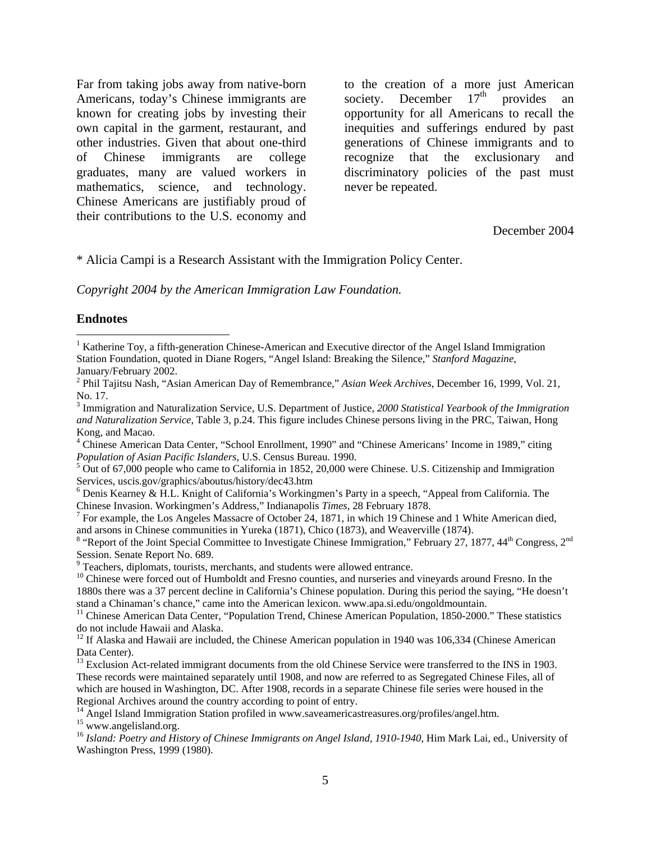Far from taking jobs away from native-born Americans, today's Chinese immigrants are known for creating jobs by investing their own capital in the garment, restaurant, and other industries. Given that about one-third of Chinese immigrants are college graduates, many are valued workers in mathematics, science, and technology. Chinese Americans are justifiably proud of their contributions to the U.S. economy and

to the creation of a more just American society. December  $17<sup>th</sup>$  provides an opportunity for all Americans to recall the inequities and sufferings endured by past generations of Chinese immigrants and to recognize that the exclusionary and discriminatory policies of the past must never be repeated.

#### December 2004

#### \* Alicia Campi is a Research Assistant with the Immigration Policy Center.

*Copyright 2004 by the American Immigration Law Foundation.* 

#### **Endnotes**

 $\overline{a}$ 

<span id="page-4-1"></span><span id="page-4-0"></span><sup>&</sup>lt;sup>1</sup> Katherine Toy, a fifth-generation Chinese-American and Executive director of the Angel Island Immigration Station Foundation, quoted in Diane Rogers, "Angel Island: Breaking the Silence," *Stanford Magazine*, January/February 2002.

<sup>2</sup> Phil Tajitsu Nash, "Asian American Day of Remembrance," *Asian Week Archives*, December 16, 1999, Vol. 21, No. 17.

<sup>3</sup> Immigration and Naturalization Service, U.S. Department of Justice, *2000 Statistical Yearbook of the Immigration and Naturalization Service*, Table 3, p.24. This figure includes Chinese persons living in the PRC, Taiwan, Hong Kong, and Macao.

<sup>&</sup>lt;sup>4</sup> Chinese American Data Center, "School Enrollment, 1990" and "Chinese Americans' Income in 1989," citing *Population of Asian Pacific Islanders*, U.S. Census Bureau. 1990.

 $5$  Out of 67,000 people who came to California in 1852, 20,000 were Chinese. U.S. Citizenship and Immigration Services, uscis.gov/graphics/aboutus/history/dec43.htm

<sup>&</sup>lt;sup>6</sup> Denis Kearney & H.L. Knight of California's Workingmen's Party in a speech, "Appeal from California. The Chinese Invasion. Workingmen's Address," Indianapolis *Times*, 28 February 1878. 7

<sup>&</sup>lt;sup>7</sup> For example, the Los Angeles Massacre of October 24, 1871, in which 19 Chinese and 1 White American died, and arsons in Chinese communities in Yureka (1871), Chico (1873), and Weaverville (1874).

<sup>&</sup>lt;sup>8</sup> "Report of the Joint Special Committee to Investigate Chinese Immigration," February 27, 1877, 44<sup>th</sup> Congress, 2<sup>nd</sup> Session. Senate Report No. 689.

<sup>&</sup>lt;sup>9</sup> Teachers, diplomats, tourists, merchants, and students were allowed entrance.

 $10$  Chinese were forced out of Humboldt and Fresno counties, and nurseries and vineyards around Fresno. In the 1880s there was a 37 percent decline in California's Chinese population. During this period the saying, "He doesn't stand a Chinaman's chance," came into the American lexicon. www.apa.si.edu/ongoldmountain.

<sup>&</sup>lt;sup>11</sup> Chinese American Data Center, "Population Trend, Chinese American Population, 1850-2000." These statistics do not include Hawaii and Alaska.

 $12$  If Alaska and Hawaii are included, the Chinese American population in 1940 was 106,334 (Chinese American Data Center).

<sup>&</sup>lt;sup>13</sup> Exclusion Act-related immigrant documents from the old Chinese Service were transferred to the INS in 1903. These records were maintained separately until 1908, and now are referred to as Segregated Chinese Files, all of which are housed in Washington, DC. After 1908, records in a separate Chinese file series were housed in the Regional Archives around the country according to point of entry.

<sup>&</sup>lt;sup>14</sup> Angel Island Immigration Station profiled in www.saveamericastreasures.org/profiles/angel.htm.

<sup>&</sup>lt;sup>15</sup> www.angelisland.org.

<sup>&</sup>lt;sup>16</sup> Island: Poetry and History of Chinese Immigrants on Angel Island, 1910-1940, Him Mark Lai, ed., University of Washington Press, 1999 (1980).